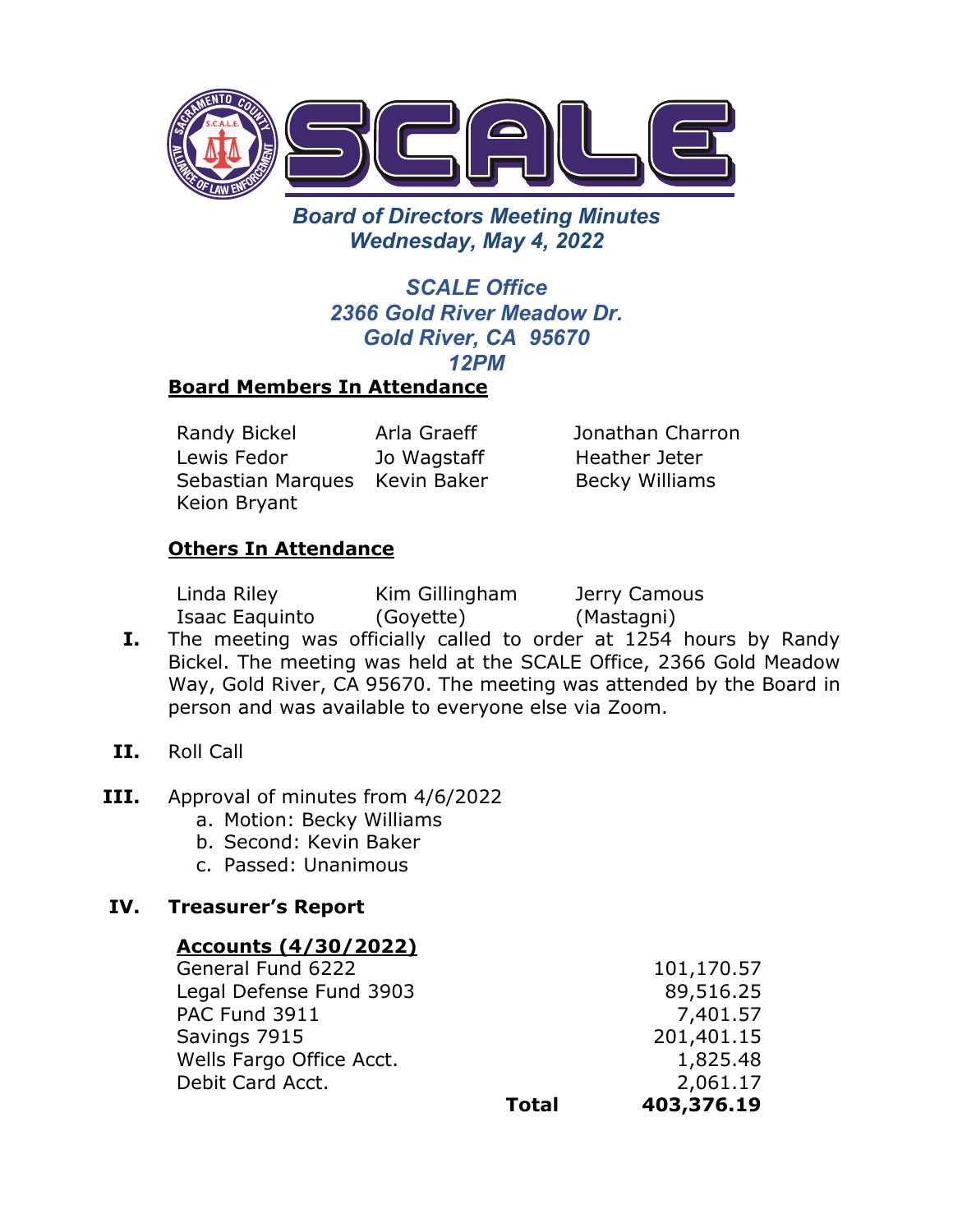

*Board of Directors Meeting Minutes Wednesday, May 4, 2022* 

# *SCALE Office 2366 Gold River Meadow Dr. Gold River, CA 95670 12PM*

# **Board Members In Attendance**

Randy Bickel Arla Graeff Jonathan Charron Lewis Fedor Sebastian Marques Kevin Baker Keion Bryant

Jo Wagstaff

Heather Jeter Becky Williams

## **Others In Attendance**

Linda Riley Isaac Eaquinto Kim Gillingham (Goyette)

Jerry Camous (Mastagni)

- **I.** The meeting was officially called to order at 1254 hours by Randy Bickel. The meeting was held at the SCALE Office, 2366 Gold Meadow Way, Gold River, CA 95670. The meeting was attended by the Board in person and was available to everyone else via Zoom.
- **II.** Roll Call
- **III.** Approval of minutes from 4/6/2022
	- a. Motion: Becky Williams
	- b. Second: Kevin Baker
	- c. Passed: Unanimous

# **IV. Treasurer's Report**

## **Accounts (4/30/2022)**

General Fund 6222 101,170.57 Legal Defense Fund 3903 89,516.25 PAC Fund 3911 7,401.57 Savings 7915 201,401.15 Wells Fargo Office Acct. 1,825.48 Debit Card Acct. 2,061.17 **Total 403,376.19**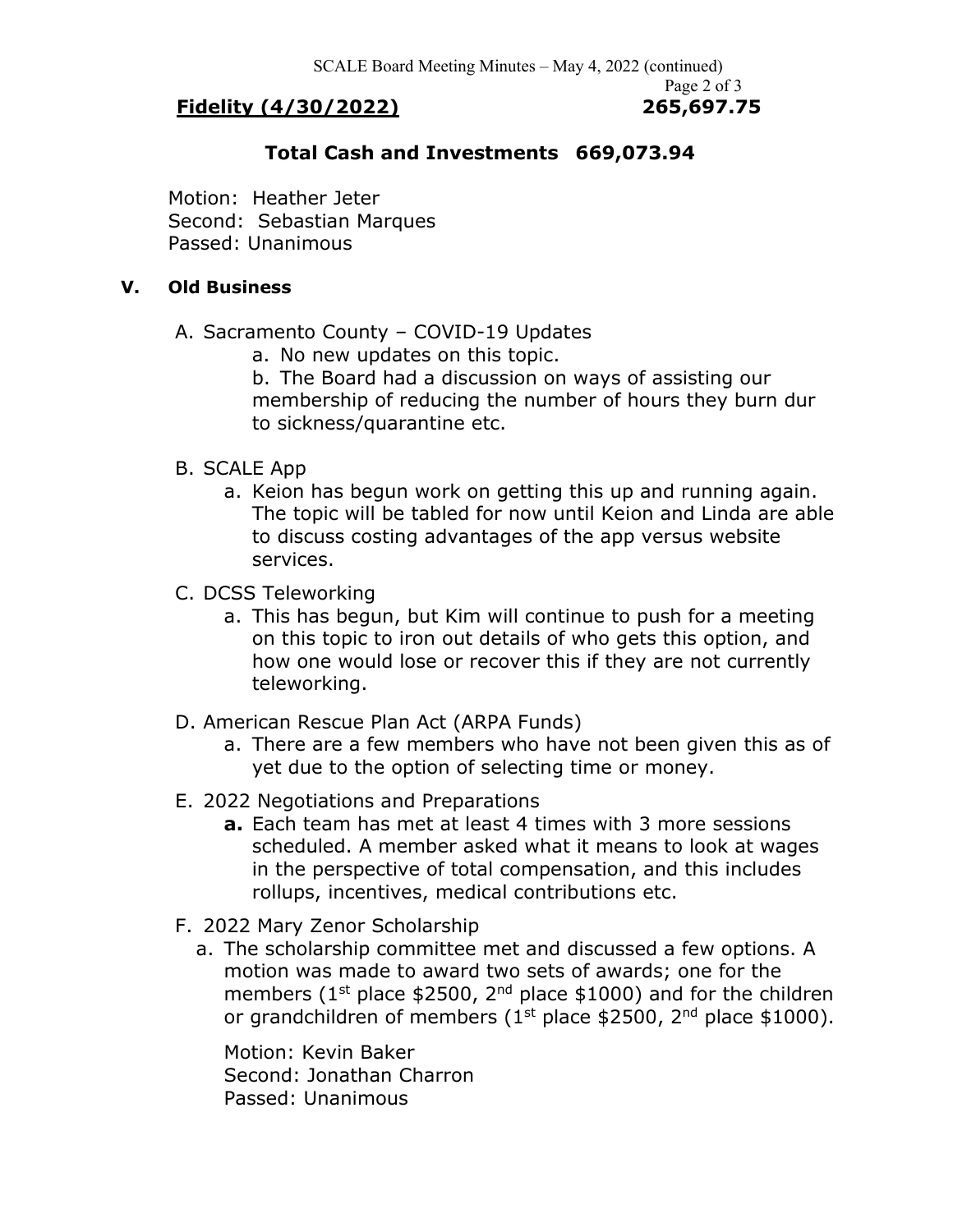## **Fidelity (4/30/2022) 265,697.75**

# Page 2 of 3

#### **Total Cash and Investments 669,073.94**

Motion: Heather Jeter Second: Sebastian Marques Passed: Unanimous

#### **V. Old Business**

- A. Sacramento County COVID-19 Updates
	- a. No new updates on this topic.

b. The Board had a discussion on ways of assisting our membership of reducing the number of hours they burn dur to sickness/quarantine etc.

#### B. SCALE App

- a. Keion has begun work on getting this up and running again. The topic will be tabled for now until Keion and Linda are able to discuss costing advantages of the app versus website services.
- C. DCSS Teleworking
	- a. This has begun, but Kim will continue to push for a meeting on this topic to iron out details of who gets this option, and how one would lose or recover this if they are not currently teleworking.
- D. American Rescue Plan Act (ARPA Funds)
	- a. There are a few members who have not been given this as of yet due to the option of selecting time or money.
- E. 2022 Negotiations and Preparations
	- **a.** Each team has met at least 4 times with 3 more sessions scheduled. A member asked what it means to look at wages in the perspective of total compensation, and this includes rollups, incentives, medical contributions etc.
- F. 2022 Mary Zenor Scholarship
	- a. The scholarship committee met and discussed a few options. A motion was made to award two sets of awards; one for the members ( $1<sup>st</sup>$  place \$2500,  $2<sup>nd</sup>$  place \$1000) and for the children or grandchildren of members ( $1<sup>st</sup>$  place \$2500,  $2<sup>nd</sup>$  place \$1000).

 Motion: Kevin Baker Second: Jonathan Charron Passed: Unanimous